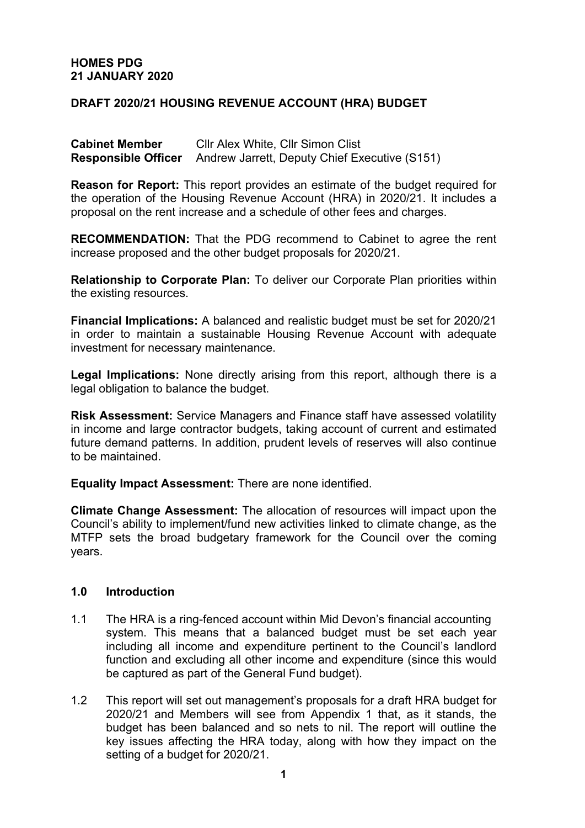### **HOMES PDG 21 JANUARY 2020**

# **DRAFT 2020/21 HOUSING REVENUE ACCOUNT (HRA) BUDGET**

**Cabinet Member** Cllr Alex White, Cllr Simon Clist **Responsible Officer** Andrew Jarrett, Deputy Chief Executive (S151)

**Reason for Report:** This report provides an estimate of the budget required for the operation of the Housing Revenue Account (HRA) in 2020/21. It includes a proposal on the rent increase and a schedule of other fees and charges.

**RECOMMENDATION:** That the PDG recommend to Cabinet to agree the rent increase proposed and the other budget proposals for 2020/21.

**Relationship to Corporate Plan:** To deliver our Corporate Plan priorities within the existing resources.

**Financial Implications:** A balanced and realistic budget must be set for 2020/21 in order to maintain a sustainable Housing Revenue Account with adequate investment for necessary maintenance.

**Legal Implications:** None directly arising from this report, although there is a legal obligation to balance the budget.

**Risk Assessment:** Service Managers and Finance staff have assessed volatility in income and large contractor budgets, taking account of current and estimated future demand patterns. In addition, prudent levels of reserves will also continue to be maintained.

**Equality Impact Assessment:** There are none identified.

**Climate Change Assessment:** The allocation of resources will impact upon the Council's ability to implement/fund new activities linked to climate change, as the MTFP sets the broad budgetary framework for the Council over the coming years.

#### **1.0 Introduction**

- 1.1 The HRA is a ring-fenced account within Mid Devon's financial accounting system. This means that a balanced budget must be set each year including all income and expenditure pertinent to the Council's landlord function and excluding all other income and expenditure (since this would be captured as part of the General Fund budget).
- 1.2 This report will set out management's proposals for a draft HRA budget for 2020/21 and Members will see from Appendix 1 that, as it stands, the budget has been balanced and so nets to nil. The report will outline the key issues affecting the HRA today, along with how they impact on the setting of a budget for 2020/21.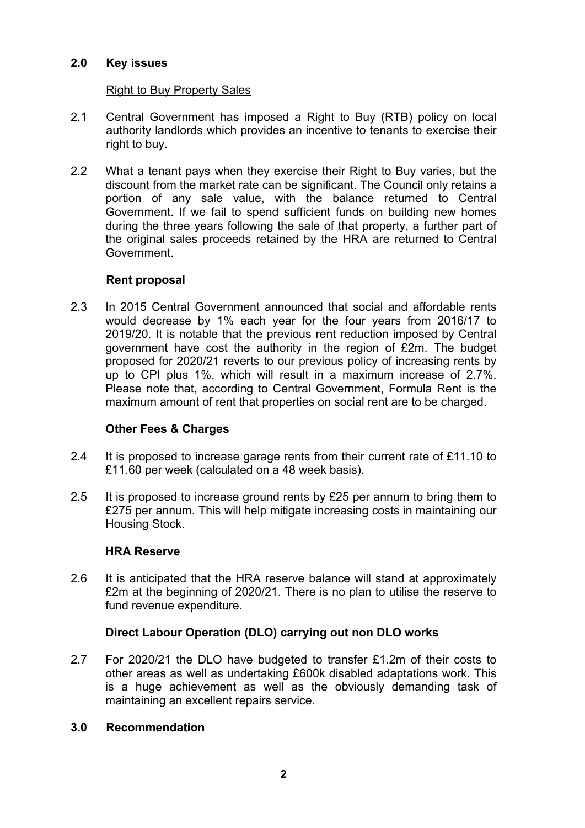### **2.0 Key issues**

### Right to Buy Property Sales

- 2.1 Central Government has imposed a Right to Buy (RTB) policy on local authority landlords which provides an incentive to tenants to exercise their right to buy.
- 2.2 What a tenant pays when they exercise their Right to Buy varies, but the discount from the market rate can be significant. The Council only retains a portion of any sale value, with the balance returned to Central Government. If we fail to spend sufficient funds on building new homes during the three years following the sale of that property, a further part of the original sales proceeds retained by the HRA are returned to Central Government.

### **Rent proposal**

2.3 In 2015 Central Government announced that social and affordable rents would decrease by 1% each year for the four years from 2016/17 to 2019/20. It is notable that the previous rent reduction imposed by Central government have cost the authority in the region of £2m. The budget proposed for 2020/21 reverts to our previous policy of increasing rents by up to CPI plus 1%, which will result in a maximum increase of 2.7%. Please note that, according to Central Government, Formula Rent is the maximum amount of rent that properties on social rent are to be charged.

# **Other Fees & Charges**

- 2.4 It is proposed to increase garage rents from their current rate of £11.10 to £11.60 per week (calculated on a 48 week basis).
- 2.5 It is proposed to increase ground rents by £25 per annum to bring them to £275 per annum. This will help mitigate increasing costs in maintaining our Housing Stock.

### **HRA Reserve**

2.6 It is anticipated that the HRA reserve balance will stand at approximately £2m at the beginning of 2020/21. There is no plan to utilise the reserve to fund revenue expenditure.

# **Direct Labour Operation (DLO) carrying out non DLO works**

2.7 For 2020/21 the DLO have budgeted to transfer £1.2m of their costs to other areas as well as undertaking £600k disabled adaptations work. This is a huge achievement as well as the obviously demanding task of maintaining an excellent repairs service.

### **3.0 Recommendation**